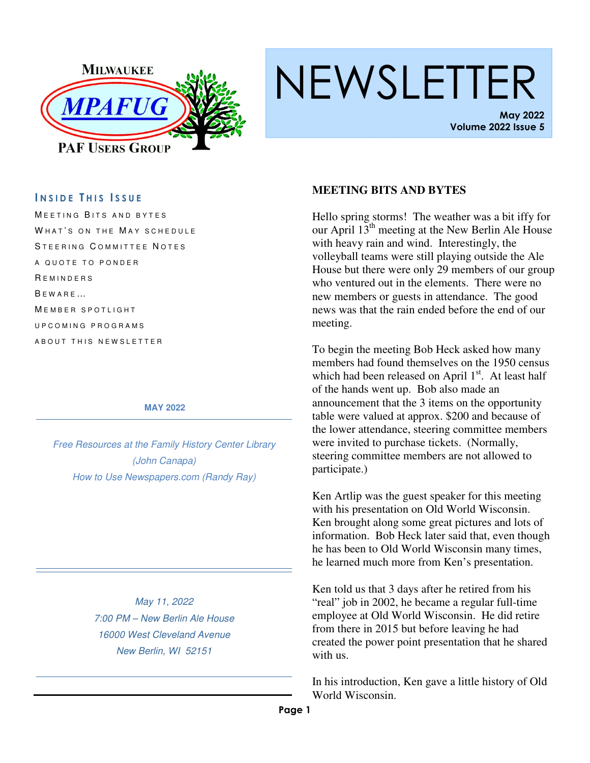

# NEWSLETTER

**May 2022 Volume 2022 Issue 5** 

### **I N S I D E T H I S I S S U E**

MEETING BITS AND BYTES WHAT'S ON THE MAY SCHEDULE STEERING COMMITTEE NOTES A QUOTE TO PONDER **REMINDERS**  $B E W A B E ...$ MEMBER SPOTLIGHT U P C O M I N G P R O G R A M S A B O U T T H I S N E W S L E T T E R

#### **MAY 2022**

*Free Resources at the Family History Center Library (John Canapa) How to Use Newspapers.com (Randy Ray)* 

> *May 11, 2022 7:00 PM – New Berlin Ale House 16000 West Cleveland Avenue New Berlin, WI 52151*

#### **MEETING BITS AND BYTES**

Hello spring storms! The weather was a bit iffy for our April  $13<sup>th</sup>$  meeting at the New Berlin Ale House with heavy rain and wind. Interestingly, the volleyball teams were still playing outside the Ale House but there were only 29 members of our group who ventured out in the elements. There were no new members or guests in attendance. The good news was that the rain ended before the end of our meeting.

To begin the meeting Bob Heck asked how many members had found themselves on the 1950 census which had been released on April  $1<sup>st</sup>$ . At least half of the hands went up. Bob also made an announcement that the 3 items on the opportunity table were valued at approx. \$200 and because of the lower attendance, steering committee members were invited to purchase tickets. (Normally, steering committee members are not allowed to participate.)

Ken Artlip was the guest speaker for this meeting with his presentation on Old World Wisconsin. Ken brought along some great pictures and lots of information. Bob Heck later said that, even though he has been to Old World Wisconsin many times, he learned much more from Ken's presentation.

Ken told us that 3 days after he retired from his "real" job in 2002, he became a regular full-time employee at Old World Wisconsin. He did retire from there in 2015 but before leaving he had created the power point presentation that he shared with us.

In his introduction, Ken gave a little history of Old World Wisconsin.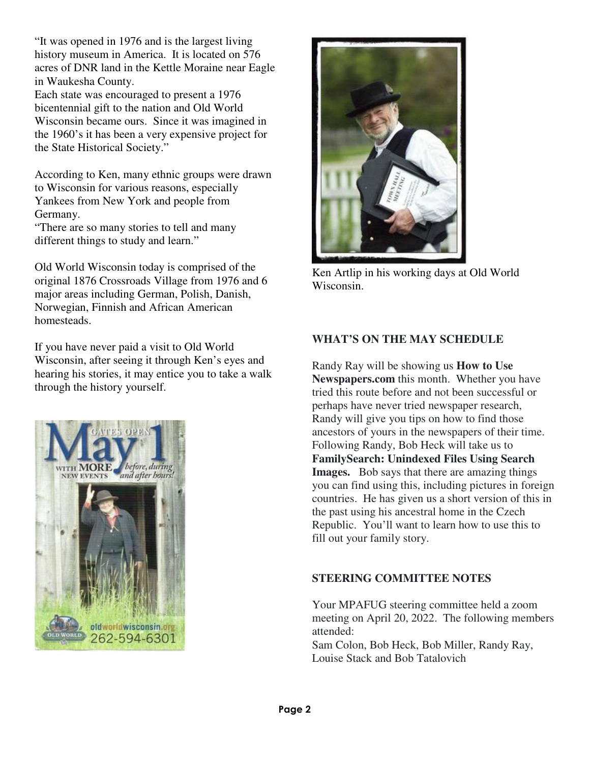"It was opened in 1976 and is the largest living history museum in America. It is located on 576 acres of DNR land in the Kettle Moraine near Eagle in Waukesha County.

Each state was encouraged to present a 1976 bicentennial gift to the nation and Old World Wisconsin became ours. Since it was imagined in the 1960's it has been a very expensive project for the State Historical Society."

According to Ken, many ethnic groups were drawn to Wisconsin for various reasons, especially Yankees from New York and people from Germany.

"There are so many stories to tell and many different things to study and learn."

Old World Wisconsin today is comprised of the original 1876 Crossroads Village from 1976 and 6 major areas including German, Polish, Danish, Norwegian, Finnish and African American homesteads.

If you have never paid a visit to Old World Wisconsin, after seeing it through Ken's eyes and hearing his stories, it may entice you to take a walk through the history yourself.





Ken Artlip in his working days at Old World Wisconsin.

### **WHAT'S ON THE MAY SCHEDULE**

Randy Ray will be showing us **How to Use Newspapers.com** this month. Whether you have tried this route before and not been successful or perhaps have never tried newspaper research, Randy will give you tips on how to find those ancestors of yours in the newspapers of their time. Following Randy, Bob Heck will take us to **FamilySearch: Unindexed Files Using Search Images.** Bob says that there are amazing things you can find using this, including pictures in foreign countries. He has given us a short version of this in the past using his ancestral home in the Czech Republic. You'll want to learn how to use this to fill out your family story.

#### **STEERING COMMITTEE NOTES**

Your MPAFUG steering committee held a zoom meeting on April 20, 2022. The following members attended:

Sam Colon, Bob Heck, Bob Miller, Randy Ray, Louise Stack and Bob Tatalovich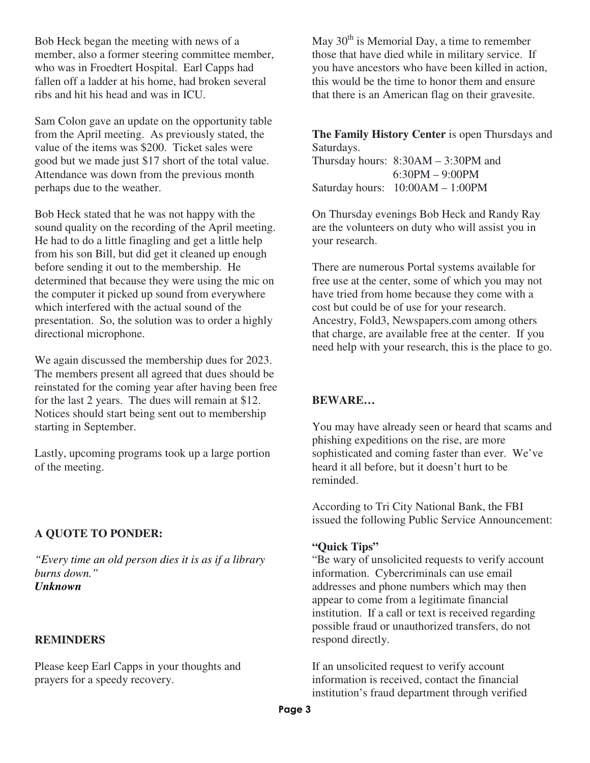Bob Heck began the meeting with news of a member, also a former steering committee member, who was in Froedtert Hospital. Earl Capps had fallen off a ladder at his home, had broken several ribs and hit his head and was in ICU.

Sam Colon gave an update on the opportunity table from the April meeting. As previously stated, the value of the items was \$200. Ticket sales were good but we made just \$17 short of the total value. Attendance was down from the previous month perhaps due to the weather.

Bob Heck stated that he was not happy with the sound quality on the recording of the April meeting. He had to do a little finagling and get a little help from his son Bill, but did get it cleaned up enough before sending it out to the membership. He determined that because they were using the mic on the computer it picked up sound from everywhere which interfered with the actual sound of the presentation. So, the solution was to order a highly directional microphone.

We again discussed the membership dues for 2023. The members present all agreed that dues should be reinstated for the coming year after having been free for the last 2 years. The dues will remain at \$12. Notices should start being sent out to membership starting in September.

Lastly, upcoming programs took up a large portion of the meeting.

#### **A QUOTE TO PONDER:**

*"Every time an old person dies it is as if a library burns down." Unknown*

# **REMINDERS**

Please keep Earl Capps in your thoughts and prayers for a speedy recovery.

May  $30<sup>th</sup>$  is Memorial Day, a time to remember those that have died while in military service. If you have ancestors who have been killed in action, this would be the time to honor them and ensure that there is an American flag on their gravesite.

**The Family History Center** is open Thursdays and Saturdays.

| Thursday hours: $8:30AM - 3:30PM$ and |
|---------------------------------------|
| $6:30PM - 9:00PM$                     |
| Saturday hours: $10:00AM - 1:00PM$    |

On Thursday evenings Bob Heck and Randy Ray are the volunteers on duty who will assist you in your research.

There are numerous Portal systems available for free use at the center, some of which you may not have tried from home because they come with a cost but could be of use for your research. Ancestry, Fold3, Newspapers.com among others that charge, are available free at the center. If you need help with your research, this is the place to go.

# **BEWARE…**

You may have already seen or heard that scams and phishing expeditions on the rise, are more sophisticated and coming faster than ever. We've heard it all before, but it doesn't hurt to be reminded.

According to Tri City National Bank, the FBI issued the following Public Service Announcement:

#### **"Quick Tips"**

"Be wary of unsolicited requests to verify account information. Cybercriminals can use email addresses and phone numbers which may then appear to come from a legitimate financial institution. If a call or text is received regarding possible fraud or unauthorized transfers, do not respond directly.

If an unsolicited request to verify account information is received, contact the financial institution's fraud department through verified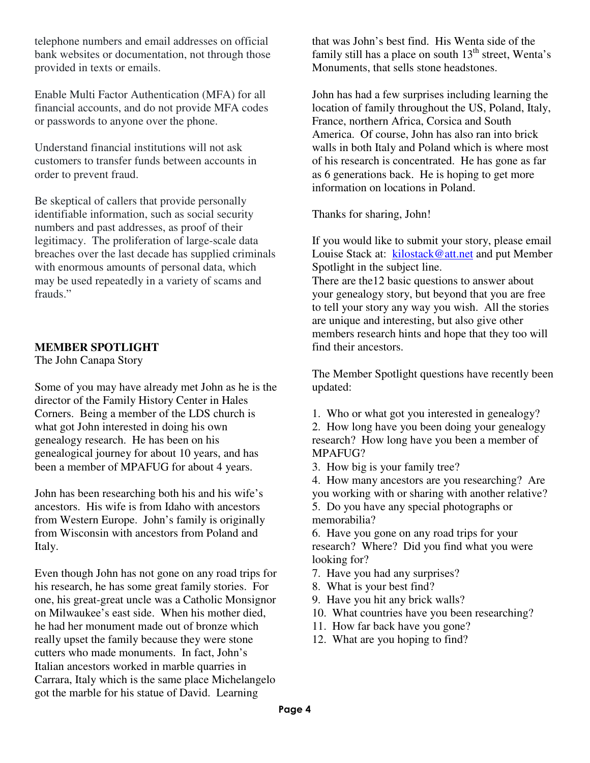telephone numbers and email addresses on official bank websites or documentation, not through those provided in texts or emails.

Enable Multi Factor Authentication (MFA) for all financial accounts, and do not provide MFA codes or passwords to anyone over the phone.

Understand financial institutions will not ask customers to transfer funds between accounts in order to prevent fraud.

Be skeptical of callers that provide personally identifiable information, such as social security numbers and past addresses, as proof of their legitimacy. The proliferation of large-scale data breaches over the last decade has supplied criminals with enormous amounts of personal data, which may be used repeatedly in a variety of scams and frauds."

# **MEMBER SPOTLIGHT**

The John Canapa Story

Some of you may have already met John as he is the director of the Family History Center in Hales Corners. Being a member of the LDS church is what got John interested in doing his own genealogy research. He has been on his genealogical journey for about 10 years, and has been a member of MPAFUG for about 4 years.

John has been researching both his and his wife's ancestors. His wife is from Idaho with ancestors from Western Europe. John's family is originally from Wisconsin with ancestors from Poland and Italy.

Even though John has not gone on any road trips for his research, he has some great family stories. For one, his great-great uncle was a Catholic Monsignor on Milwaukee's east side. When his mother died, he had her monument made out of bronze which really upset the family because they were stone cutters who made monuments. In fact, John's Italian ancestors worked in marble quarries in Carrara, Italy which is the same place Michelangelo got the marble for his statue of David. Learning

that was John's best find. His Wenta side of the family still has a place on south  $13<sup>th</sup>$  street, Wenta's Monuments, that sells stone headstones.

John has had a few surprises including learning the location of family throughout the US, Poland, Italy, France, northern Africa, Corsica and South America. Of course, John has also ran into brick walls in both Italy and Poland which is where most of his research is concentrated. He has gone as far as 6 generations back. He is hoping to get more information on locations in Poland.

Thanks for sharing, John!

If you would like to submit your story, please email Louise Stack at: kilostack@att.net and put Member Spotlight in the subject line.

There are the12 basic questions to answer about your genealogy story, but beyond that you are free to tell your story any way you wish. All the stories are unique and interesting, but also give other members research hints and hope that they too will find their ancestors.

The Member Spotlight questions have recently been updated:

1. Who or what got you interested in genealogy?

2. How long have you been doing your genealogy research? How long have you been a member of MPAFUG?

3. How big is your family tree?

4. How many ancestors are you researching? Are you working with or sharing with another relative? 5. Do you have any special photographs or memorabilia?

6. Have you gone on any road trips for your research? Where? Did you find what you were looking for?

- 7. Have you had any surprises?
- 8. What is your best find?
- 9. Have you hit any brick walls?
- 10. What countries have you been researching?
- 11. How far back have you gone?
- 12. What are you hoping to find?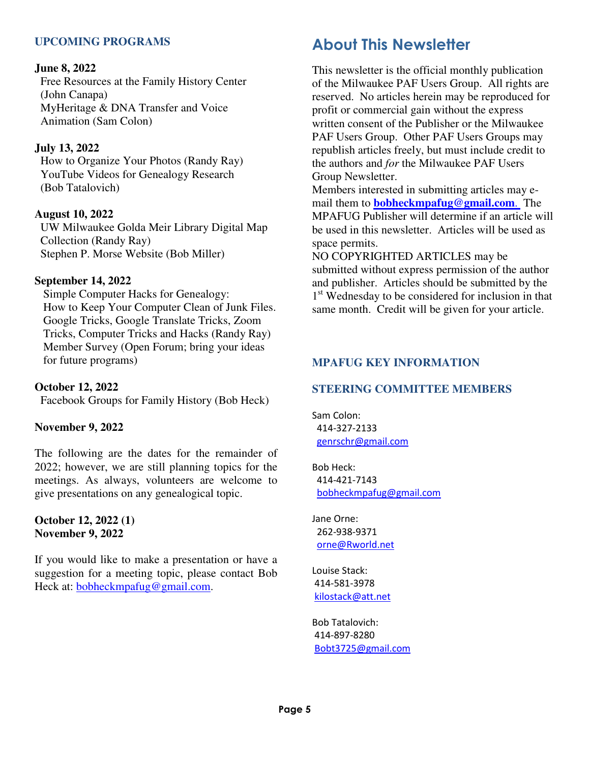# **UPCOMING PROGRAMS**

#### **June 8, 2022**

Free Resources at the Family History Center (John Canapa) MyHeritage & DNA Transfer and Voice Animation (Sam Colon)

#### **July 13, 2022**

How to Organize Your Photos (Randy Ray) YouTube Videos for Genealogy Research (Bob Tatalovich)

#### **August 10, 2022**

UW Milwaukee Golda Meir Library Digital Map Collection (Randy Ray) Stephen P. Morse Website (Bob Miller)

#### **September 14, 2022**

Simple Computer Hacks for Genealogy: How to Keep Your Computer Clean of Junk Files. Google Tricks, Google Translate Tricks, Zoom Tricks, Computer Tricks and Hacks (Randy Ray) Member Survey (Open Forum; bring your ideas for future programs)

#### **October 12, 2022**

Facebook Groups for Family History (Bob Heck)

#### **November 9, 2022**

The following are the dates for the remainder of 2022; however, we are still planning topics for the meetings. As always, volunteers are welcome to give presentations on any genealogical topic.

#### **October 12, 2022 (1) November 9, 2022**

If you would like to make a presentation or have a suggestion for a meeting topic, please contact Bob Heck at: bobheckmpafug@gmail.com.

# **About This Newsletter**

This newsletter is the official monthly publication of the Milwaukee PAF Users Group. All rights are reserved. No articles herein may be reproduced for profit or commercial gain without the express written consent of the Publisher or the Milwaukee PAF Users Group. Other PAF Users Groups may republish articles freely, but must include credit to the authors and *for* the Milwaukee PAF Users Group Newsletter.

Members interested in submitting articles may email them to **bobheckmpafug@gmail.com**. The MPAFUG Publisher will determine if an article will be used in this newsletter. Articles will be used as space permits.

NO COPYRIGHTED ARTICLES may be submitted without express permission of the author and publisher. Articles should be submitted by the 1<sup>st</sup> Wednesday to be considered for inclusion in that same month. Credit will be given for your article.

#### **MPAFUG KEY INFORMATION**

### **STEERING COMMITTEE MEMBERS**

Sam Colon: 414-327-2133 genrschr@gmail.com

Bob Heck: 414-421-7143 bobheckmpafug@gmail.com

Jane Orne: 262-938-9371 orne@Rworld.net

Louise Stack: 414-581-3978 kilostack@att.net

Bob Tatalovich: 414-897-8280 Bobt3725@gmail.com